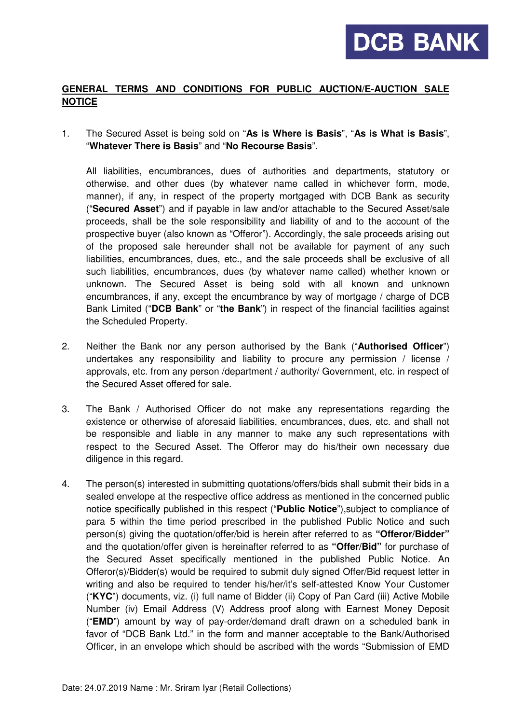## **GENERAL TERMS AND CONDITIONS FOR PUBLIC AUCTION/E-AUCTION SALE NOTICE**

1. The Secured Asset is being sold on "**As is Where is Basis**", "**As is What is Basis**", "**Whatever There is Basis**" and "**No Recourse Basis**".

 All liabilities, encumbrances, dues of authorities and departments, statutory or otherwise, and other dues (by whatever name called in whichever form, mode, manner), if any, in respect of the property mortgaged with DCB Bank as security ("**Secured Asset**") and if payable in law and/or attachable to the Secured Asset/sale proceeds, shall be the sole responsibility and liability of and to the account of the prospective buyer (also known as "Offeror"). Accordingly, the sale proceeds arising out of the proposed sale hereunder shall not be available for payment of any such liabilities, encumbrances, dues, etc., and the sale proceeds shall be exclusive of all such liabilities, encumbrances, dues (by whatever name called) whether known or unknown. The Secured Asset is being sold with all known and unknown encumbrances, if any, except the encumbrance by way of mortgage / charge of DCB Bank Limited ("**DCB Bank**" or "**the Bank**") in respect of the financial facilities against the Scheduled Property.

- 2. Neither the Bank nor any person authorised by the Bank ("**Authorised Officer**") undertakes any responsibility and liability to procure any permission / license / approvals, etc. from any person /department / authority/ Government, etc. in respect of the Secured Asset offered for sale.
- 3. The Bank / Authorised Officer do not make any representations regarding the existence or otherwise of aforesaid liabilities, encumbrances, dues, etc. and shall not be responsible and liable in any manner to make any such representations with respect to the Secured Asset. The Offeror may do his/their own necessary due diligence in this regard.
- 4. The person(s) interested in submitting quotations/offers/bids shall submit their bids in a sealed envelope at the respective office address as mentioned in the concerned public notice specifically published in this respect ("**Public Notice**"),subject to compliance of para 5 within the time period prescribed in the published Public Notice and such person(s) giving the quotation/offer/bid is herein after referred to as **"Offeror/Bidder"** and the quotation/offer given is hereinafter referred to as **"Offer/Bid"** for purchase of the Secured Asset specifically mentioned in the published Public Notice. An Offeror(s)/Bidder(s) would be required to submit duly signed Offer/Bid request letter in writing and also be required to tender his/her/it's self-attested Know Your Customer ("**KYC**") documents, viz. (i) full name of Bidder (ii) Copy of Pan Card (iii) Active Mobile Number (iv) Email Address (V) Address proof along with Earnest Money Deposit ("**EMD**") amount by way of pay-order/demand draft drawn on a scheduled bank in favor of "DCB Bank Ltd." in the form and manner acceptable to the Bank/Authorised Officer, in an envelope which should be ascribed with the words "Submission of EMD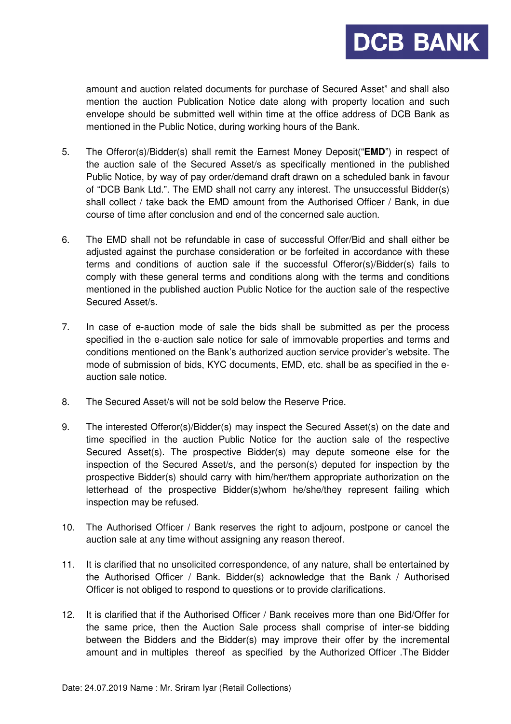amount and auction related documents for purchase of Secured Asset" and shall also mention the auction Publication Notice date along with property location and such envelope should be submitted well within time at the office address of DCB Bank as mentioned in the Public Notice, during working hours of the Bank.

- 5. The Offeror(s)/Bidder(s) shall remit the Earnest Money Deposit("**EMD**") in respect of the auction sale of the Secured Asset/s as specifically mentioned in the published Public Notice, by way of pay order/demand draft drawn on a scheduled bank in favour of "DCB Bank Ltd.". The EMD shall not carry any interest. The unsuccessful Bidder(s) shall collect / take back the EMD amount from the Authorised Officer / Bank, in due course of time after conclusion and end of the concerned sale auction.
- 6. The EMD shall not be refundable in case of successful Offer/Bid and shall either be adjusted against the purchase consideration or be forfeited in accordance with these terms and conditions of auction sale if the successful Offeror(s)/Bidder(s) fails to comply with these general terms and conditions along with the terms and conditions mentioned in the published auction Public Notice for the auction sale of the respective Secured Asset/s.
- 7. In case of e-auction mode of sale the bids shall be submitted as per the process specified in the e-auction sale notice for sale of immovable properties and terms and conditions mentioned on the Bank's authorized auction service provider's website. The mode of submission of bids, KYC documents, EMD, etc. shall be as specified in the eauction sale notice.
- 8. The Secured Asset/s will not be sold below the Reserve Price.
- 9. The interested Offeror(s)/Bidder(s) may inspect the Secured Asset(s) on the date and time specified in the auction Public Notice for the auction sale of the respective Secured Asset(s). The prospective Bidder(s) may depute someone else for the inspection of the Secured Asset/s, and the person(s) deputed for inspection by the prospective Bidder(s) should carry with him/her/them appropriate authorization on the letterhead of the prospective Bidder(s)whom he/she/they represent failing which inspection may be refused.
- 10. The Authorised Officer / Bank reserves the right to adjourn, postpone or cancel the auction sale at any time without assigning any reason thereof.
- 11. It is clarified that no unsolicited correspondence, of any nature, shall be entertained by the Authorised Officer / Bank. Bidder(s) acknowledge that the Bank / Authorised Officer is not obliged to respond to questions or to provide clarifications.
- 12. It is clarified that if the Authorised Officer / Bank receives more than one Bid/Offer for the same price, then the Auction Sale process shall comprise of inter-se bidding between the Bidders and the Bidder(s) may improve their offer by the incremental amount and in multiples thereof as specified by the Authorized Officer .The Bidder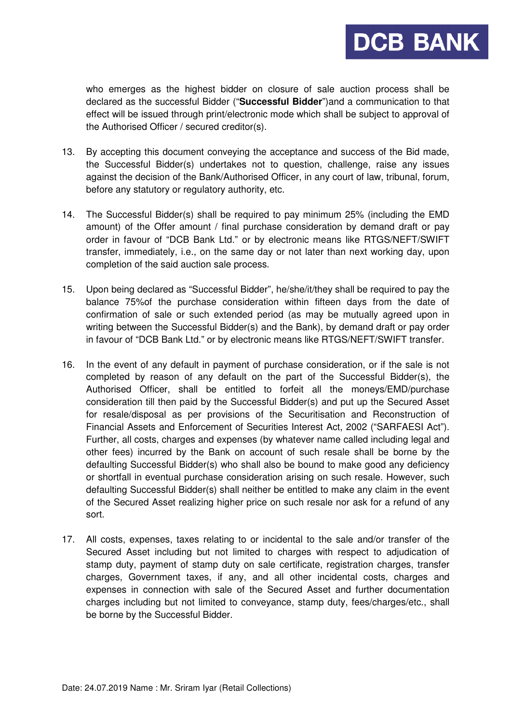who emerges as the highest bidder on closure of sale auction process shall be declared as the successful Bidder ("**Successful Bidder**")and a communication to that effect will be issued through print/electronic mode which shall be subject to approval of the Authorised Officer / secured creditor(s).

- 13. By accepting this document conveying the acceptance and success of the Bid made, the Successful Bidder(s) undertakes not to question, challenge, raise any issues against the decision of the Bank/Authorised Officer, in any court of law, tribunal, forum, before any statutory or regulatory authority, etc.
- 14. The Successful Bidder(s) shall be required to pay minimum 25% (including the EMD amount) of the Offer amount / final purchase consideration by demand draft or pay order in favour of "DCB Bank Ltd." or by electronic means like RTGS/NEFT/SWIFT transfer, immediately, i.e., on the same day or not later than next working day, upon completion of the said auction sale process.
- 15. Upon being declared as "Successful Bidder", he/she/it/they shall be required to pay the balance 75%of the purchase consideration within fifteen days from the date of confirmation of sale or such extended period (as may be mutually agreed upon in writing between the Successful Bidder(s) and the Bank), by demand draft or pay order in favour of "DCB Bank Ltd." or by electronic means like RTGS/NEFT/SWIFT transfer.
- 16. In the event of any default in payment of purchase consideration, or if the sale is not completed by reason of any default on the part of the Successful Bidder(s), the Authorised Officer, shall be entitled to forfeit all the moneys/EMD/purchase consideration till then paid by the Successful Bidder(s) and put up the Secured Asset for resale/disposal as per provisions of the Securitisation and Reconstruction of Financial Assets and Enforcement of Securities Interest Act, 2002 ("SARFAESI Act"). Further, all costs, charges and expenses (by whatever name called including legal and other fees) incurred by the Bank on account of such resale shall be borne by the defaulting Successful Bidder(s) who shall also be bound to make good any deficiency or shortfall in eventual purchase consideration arising on such resale. However, such defaulting Successful Bidder(s) shall neither be entitled to make any claim in the event of the Secured Asset realizing higher price on such resale nor ask for a refund of any sort.
- 17. All costs, expenses, taxes relating to or incidental to the sale and/or transfer of the Secured Asset including but not limited to charges with respect to adjudication of stamp duty, payment of stamp duty on sale certificate, registration charges, transfer charges, Government taxes, if any, and all other incidental costs, charges and expenses in connection with sale of the Secured Asset and further documentation charges including but not limited to conveyance, stamp duty, fees/charges/etc., shall be borne by the Successful Bidder.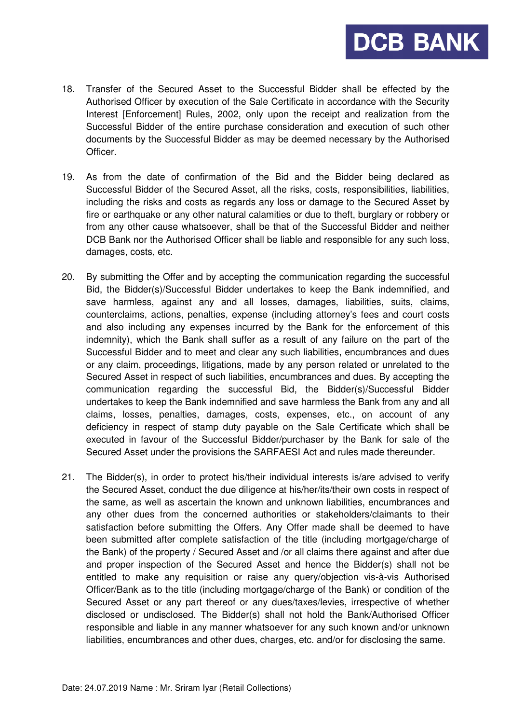18. Transfer of the Secured Asset to the Successful Bidder shall be effected by the Authorised Officer by execution of the Sale Certificate in accordance with the Security Interest [Enforcement] Rules, 2002, only upon the receipt and realization from the Successful Bidder of the entire purchase consideration and execution of such other documents by the Successful Bidder as may be deemed necessary by the Authorised Officer.

- 19. As from the date of confirmation of the Bid and the Bidder being declared as Successful Bidder of the Secured Asset, all the risks, costs, responsibilities, liabilities, including the risks and costs as regards any loss or damage to the Secured Asset by fire or earthquake or any other natural calamities or due to theft, burglary or robbery or from any other cause whatsoever, shall be that of the Successful Bidder and neither DCB Bank nor the Authorised Officer shall be liable and responsible for any such loss, damages, costs, etc.
- 20. By submitting the Offer and by accepting the communication regarding the successful Bid, the Bidder(s)/Successful Bidder undertakes to keep the Bank indemnified, and save harmless, against any and all losses, damages, liabilities, suits, claims, counterclaims, actions, penalties, expense (including attorney's fees and court costs and also including any expenses incurred by the Bank for the enforcement of this indemnity), which the Bank shall suffer as a result of any failure on the part of the Successful Bidder and to meet and clear any such liabilities, encumbrances and dues or any claim, proceedings, litigations, made by any person related or unrelated to the Secured Asset in respect of such liabilities, encumbrances and dues. By accepting the communication regarding the successful Bid, the Bidder(s)/Successful Bidder undertakes to keep the Bank indemnified and save harmless the Bank from any and all claims, losses, penalties, damages, costs, expenses, etc., on account of any deficiency in respect of stamp duty payable on the Sale Certificate which shall be executed in favour of the Successful Bidder/purchaser by the Bank for sale of the Secured Asset under the provisions the SARFAESI Act and rules made thereunder.
- 21. The Bidder(s), in order to protect his/their individual interests is/are advised to verify the Secured Asset, conduct the due diligence at his/her/its/their own costs in respect of the same, as well as ascertain the known and unknown liabilities, encumbrances and any other dues from the concerned authorities or stakeholders/claimants to their satisfaction before submitting the Offers. Any Offer made shall be deemed to have been submitted after complete satisfaction of the title (including mortgage/charge of the Bank) of the property / Secured Asset and /or all claims there against and after due and proper inspection of the Secured Asset and hence the Bidder(s) shall not be entitled to make any requisition or raise any query/objection vis-à-vis Authorised Officer/Bank as to the title (including mortgage/charge of the Bank) or condition of the Secured Asset or any part thereof or any dues/taxes/levies, irrespective of whether disclosed or undisclosed. The Bidder(s) shall not hold the Bank/Authorised Officer responsible and liable in any manner whatsoever for any such known and/or unknown liabilities, encumbrances and other dues, charges, etc. and/or for disclosing the same.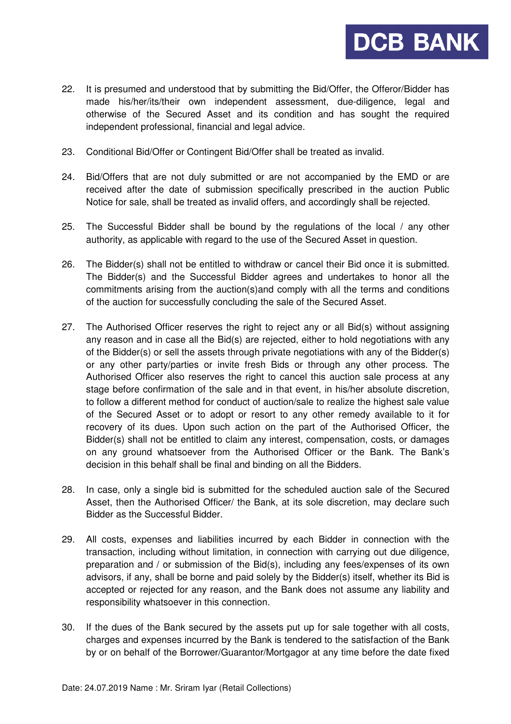22. It is presumed and understood that by submitting the Bid/Offer, the Offeror/Bidder has made his/her/its/their own independent assessment, due-diligence, legal and otherwise of the Secured Asset and its condition and has sought the required independent professional, financial and legal advice.

- 23. Conditional Bid/Offer or Contingent Bid/Offer shall be treated as invalid.
- 24. Bid/Offers that are not duly submitted or are not accompanied by the EMD or are received after the date of submission specifically prescribed in the auction Public Notice for sale, shall be treated as invalid offers, and accordingly shall be rejected.
- 25. The Successful Bidder shall be bound by the regulations of the local / any other authority, as applicable with regard to the use of the Secured Asset in question.
- 26. The Bidder(s) shall not be entitled to withdraw or cancel their Bid once it is submitted. The Bidder(s) and the Successful Bidder agrees and undertakes to honor all the commitments arising from the auction(s)and comply with all the terms and conditions of the auction for successfully concluding the sale of the Secured Asset.
- 27. The Authorised Officer reserves the right to reject any or all Bid(s) without assigning any reason and in case all the Bid(s) are rejected, either to hold negotiations with any of the Bidder(s) or sell the assets through private negotiations with any of the Bidder(s) or any other party/parties or invite fresh Bids or through any other process. The Authorised Officer also reserves the right to cancel this auction sale process at any stage before confirmation of the sale and in that event, in his/her absolute discretion, to follow a different method for conduct of auction/sale to realize the highest sale value of the Secured Asset or to adopt or resort to any other remedy available to it for recovery of its dues. Upon such action on the part of the Authorised Officer, the Bidder(s) shall not be entitled to claim any interest, compensation, costs, or damages on any ground whatsoever from the Authorised Officer or the Bank. The Bank's decision in this behalf shall be final and binding on all the Bidders.
- 28. In case, only a single bid is submitted for the scheduled auction sale of the Secured Asset, then the Authorised Officer/ the Bank, at its sole discretion, may declare such Bidder as the Successful Bidder.
- 29. All costs, expenses and liabilities incurred by each Bidder in connection with the transaction, including without limitation, in connection with carrying out due diligence, preparation and / or submission of the Bid(s), including any fees/expenses of its own advisors, if any, shall be borne and paid solely by the Bidder(s) itself, whether its Bid is accepted or rejected for any reason, and the Bank does not assume any liability and responsibility whatsoever in this connection.
- 30. If the dues of the Bank secured by the assets put up for sale together with all costs, charges and expenses incurred by the Bank is tendered to the satisfaction of the Bank by or on behalf of the Borrower/Guarantor/Mortgagor at any time before the date fixed